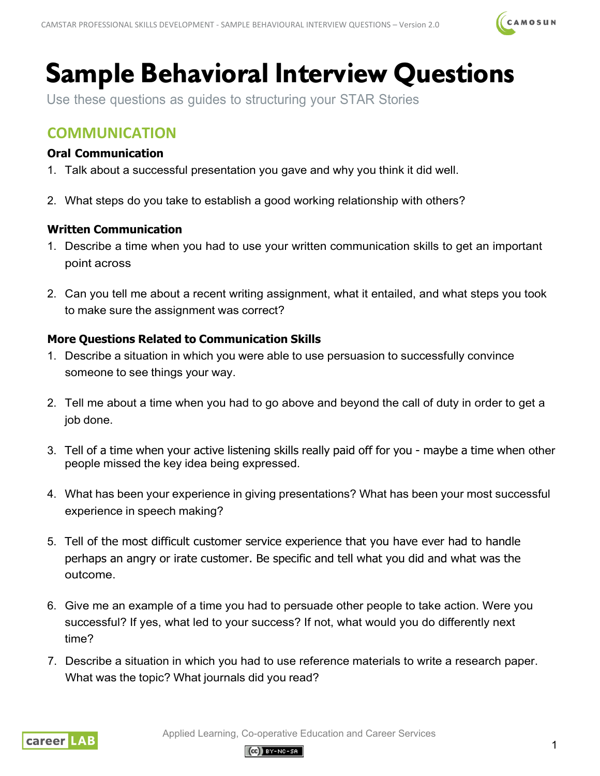

# **Sample Behavioral Interview Questions**

Use these questions as guides to structuring your STAR Stories

# **COMMUNICATION**

## **Oral Communication**

- 1. Talk about a successful presentation you gave and why you think it did well.
- 2. What steps do you take to establish a good working relationship with others?

### **Written Communication**

- 1. Describe a time when you had to use your written communication skills to get an important point across
- 2. Can you tell me about a recent writing assignment, what it entailed, and what steps you took to make sure the assignment was correct?

## **More Questions Related to Communication Skills**

- 1. Describe a situation in which you were able to use persuasion to successfully convince someone to see things your way.
- 2. Tell me about a time when you had to go above and beyond the call of duty in order to get a job done.
- 3. Tell of a time when your active listening skills really paid off for you maybe a time when other people missed the key idea being expressed.
- 4. What has been your experience in giving presentations? What has been your most successful experience in speech making?
- 5. Tell of the most difficult customer service experience that you have ever had to handle perhaps an angry or irate customer. Be specific and tell what you did and what was the outcome.
- 6. Give me an example of a time you had to persuade other people to take action. Were you successful? If yes, what led to your success? If not, what would you do differently next time?
- 7. Describe a situation in which you had to use reference materials to write a research paper. What was the topic? What journals did you read?



Applied Learning, Co-operative Education and Career Services

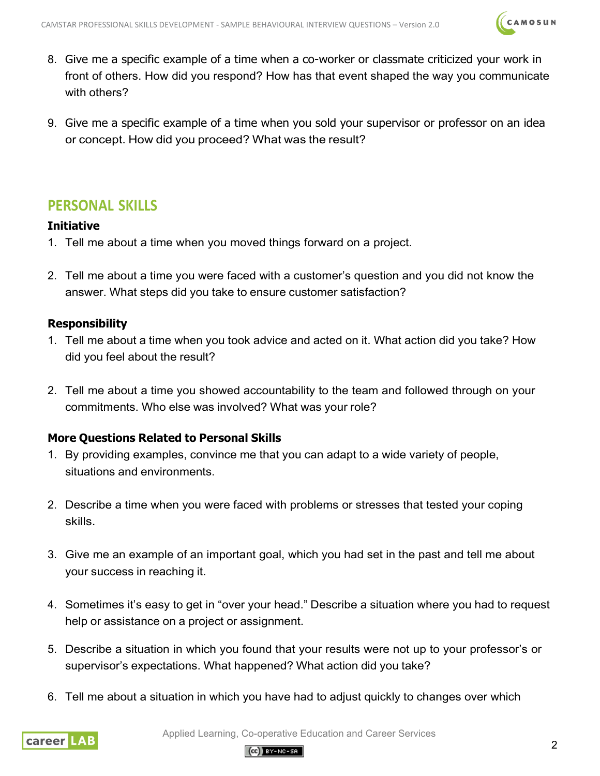

- 8. Give me a specific example of a time when a co-worker or classmate criticized your work in front of others. How did you respond? How has that event shaped the way you communicate with others?
- 9. Give me a specific example of a time when you sold your supervisor or professor on an idea or concept. How did you proceed? What was the result?

# **PERSONAL SKILLS**

#### **Initiative**

- 1. Tell me about a time when you moved things forward on a project.
- 2. Tell me about a time you were faced with a customer's question and you did not know the answer. What steps did you take to ensure customer satisfaction?

#### **Responsibility**

- 1. Tell me about a time when you took advice and acted on it. What action did you take? How did you feel about the result?
- 2. Tell me about a time you showed accountability to the team and followed through on your commitments. Who else was involved? What was your role?

#### **More Questions Related to Personal Skills**

- 1. By providing examples, convince me that you can adapt to a wide variety of people, situations and environments.
- 2. Describe a time when you were faced with problems or stresses that tested your coping skills.
- 3. Give me an example of an important goal, which you had set in the past and tell me about your success in reaching it.
- 4. Sometimes it's easy to get in "over your head." Describe a situation where you had to request help or assistance on a project or assignment.
- 5. Describe a situation in which you found that your results were not up to your professor's or supervisor's expectations. What happened? What action did you take?
- 6. Tell me about a situation in which you have had to adjust quickly to changes over which



Applied Learning, Co-operative Education and Career Services

#### $(Cc)$  BY-NO-SA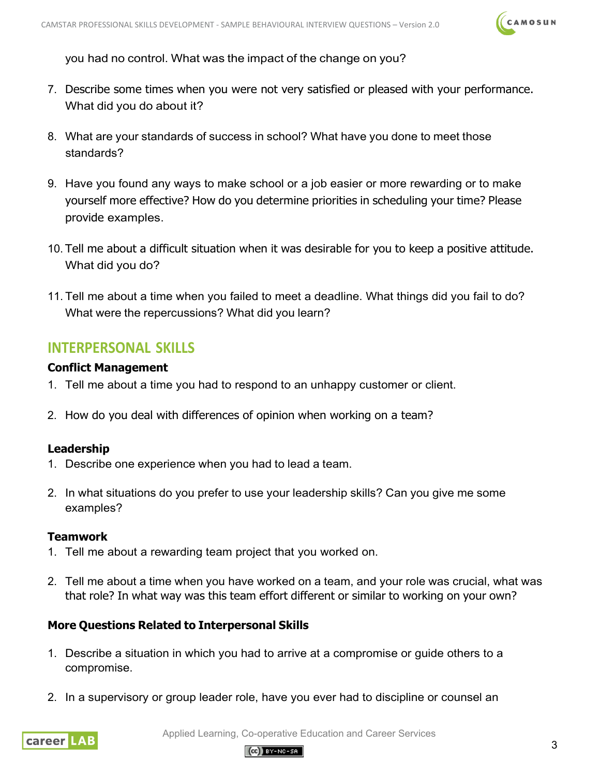

you had no control. What was the impact of the change on you?

- 7. Describe some times when you were not very satisfied or pleased with your performance. What did you do about it?
- 8. What are your standards of success in school? What have you done to meet those standards?
- 9. Have you found any ways to make school or a job easier or more rewarding or to make yourself more effective? How do you determine priorities in scheduling your time? Please provide examples.
- 10. Tell me about a difficult situation when it was desirable for you to keep a positive attitude. What did you do?
- 11. Tell me about a time when you failed to meet a deadline. What things did you fail to do? What were the repercussions? What did you learn?

## **INTERPERSONAL SKILLS**

#### **Conflict Management**

- 1. Tell me about a time you had to respond to an unhappy customer or client.
- 2. How do you deal with differences of opinion when working on a team?

#### **Leadership**

- 1. Describe one experience when you had to lead a team.
- 2. In what situations do you prefer to use your leadership skills? Can you give me some examples?

#### **Teamwork**

- 1. Tell me about a rewarding team project that you worked on.
- 2. Tell me about a time when you have worked on a team, and your role was crucial, what was that role? In what way was this team effort different or similar to working on your own?

#### **More Questions Related to Interpersonal Skills**

- 1. Describe a situation in which you had to arrive at a compromise or guide others to a compromise.
- 2. In a supervisory or group leader role, have you ever had to discipline or counsel an



Applied Learning, Co-operative Education and Career Services

#### $(O<sub>0</sub>)$  BY-NC-SA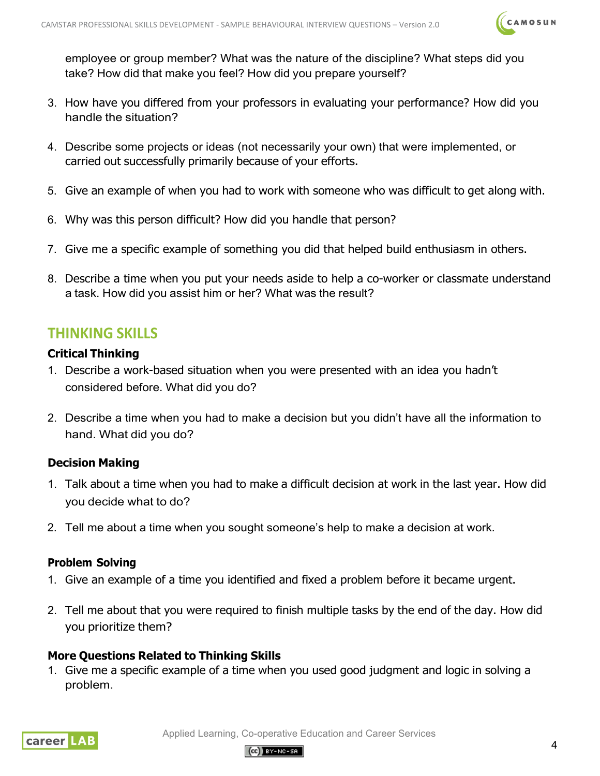

employee or group member? What was the nature of the discipline? What steps did you take? How did that make you feel? How did you prepare yourself?

- 3. How have you differed from your professors in evaluating your performance? How did you handle the situation?
- 4. Describe some projects or ideas (not necessarily your own) that were implemented, or carried out successfully primarily because of your efforts.
- 5. Give an example of when you had to work with someone who was difficult to get along with.
- 6. Why was this person difficult? How did you handle that person?
- 7. Give me a specific example of something you did that helped build enthusiasm in others.
- 8. Describe a time when you put your needs aside to help a co-worker or classmate understand a task. How did you assist him or her? What was the result?

## **THINKING SKILLS**

#### **Critical Thinking**

- 1. Describe a work-based situation when you were presented with an idea you hadn't considered before. What did you do?
- 2. Describe a time when you had to make a decision but you didn't have all the information to hand. What did you do?

#### **Decision Making**

- 1. Talk about a time when you had to make a difficult decision at work in the last year. How did you decide what to do?
- 2. Tell me about a time when you sought someone's help to make a decision at work.

#### **Problem Solving**

- 1. Give an example of a time you identified and fixed a problem before it became urgent.
- 2. Tell me about that you were required to finish multiple tasks by the end of the day. How did you prioritize them?

#### **More Questions Related to Thinking Skills**

1. Give me a specific example of a time when you used good judgment and logic in solving a problem.



Applied Learning, Co-operative Education and Career Services

#### $(Cc)$  BY-NO-SA